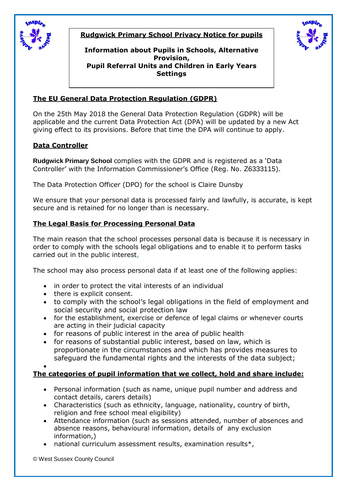

**Rudgwick Primary School Privacy Notice for pupils**



**Information about Pupils in Schools, Alternative Provision, Pupil Referral Units and Children in Early Years Settings**

# **The EU General Data Protection Regulation (GDPR)**

On the 25th May 2018 the General Data Protection Regulation (GDPR) will be applicable and the current Data Protection Act (DPA) will be updated by a new Act giving effect to its provisions. Before that time the DPA will continue to apply.

# **Data Controller**

**Rudgwick Primary School** complies with the GDPR and is registered as a 'Data Controller' with the Information Commissioner's Office (Reg. No. Z6333115).

The Data Protection Officer (DPO) for the school is Claire Dunsby

We ensure that your personal data is processed fairly and lawfully, is accurate, is kept secure and is retained for no longer than is necessary.

# **The Legal Basis for Processing Personal Data**

The main reason that the school processes personal data is because it is necessary in order to comply with the schools legal obligations and to enable it to perform tasks carried out in the public interest,

The school may also process personal data if at least one of the following applies:

- in order to protect the vital interests of an individual
- there is explicit consent.
- to comply with the school's legal obligations in the field of employment and social security and social protection law
- for the establishment, exercise or defence of legal claims or whenever courts are acting in their judicial capacity
- for reasons of public interest in the area of public health
- for reasons of substantial public interest, based on law, which is proportionate in the circumstances and which has provides measures to safeguard the fundamental rights and the interests of the data subject;

 $\bullet$ 

# **The categories of pupil information that we collect, hold and share include:**

- Personal information (such as name, unique pupil number and address and contact details, carers details)
- Characteristics (such as ethnicity, language, nationality, country of birth, religion and free school meal eligibility)
- Attendance information (such as sessions attended, number of absences and absence reasons, behavioural information, details of any exclusion information,)
- national curriculum assessment results, examination results\*,

© West Sussex County Council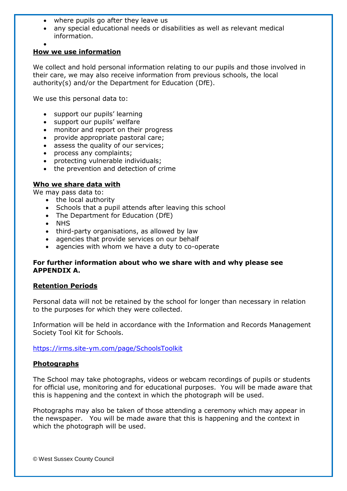- where pupils go after they leave us
- any special educational needs or disabilities as well as relevant medical information.
- $\bullet$

## **How we use information**

We collect and hold personal information relating to our pupils and those involved in their care, we may also receive information from previous schools, the local authority(s) and/or the Department for Education (DfE).

We use this personal data to:

- support our pupils' learning
- support our pupils' welfare
- monitor and report on their progress
- provide appropriate pastoral care;
- assess the quality of our services;
- process any complaints;
- protecting vulnerable individuals;
- the prevention and detection of crime

## **Who we share data with**

We may pass data to:

- the local authority
- Schools that a pupil attends after leaving this school
- The Department for Education (DfE)
- NHS
- third-party organisations, as allowed by law
- agencies that provide services on our behalf
- agencies with whom we have a duty to co-operate

## **For further information about who we share with and why please see APPENDIX A.**

### **Retention Periods**

Personal data will not be retained by the school for longer than necessary in relation to the purposes for which they were collected.

Information will be held in accordance with the Information and Records Management Society Tool Kit for Schools.

<https://irms.site-ym.com/page/SchoolsToolkit>

### **Photographs**

The School may take photographs, videos or webcam recordings of pupils or students for official use, monitoring and for educational purposes. You will be made aware that this is happening and the context in which the photograph will be used.

Photographs may also be taken of those attending a ceremony which may appear in the newspaper. You will be made aware that this is happening and the context in which the photograph will be used.

© West Sussex County Council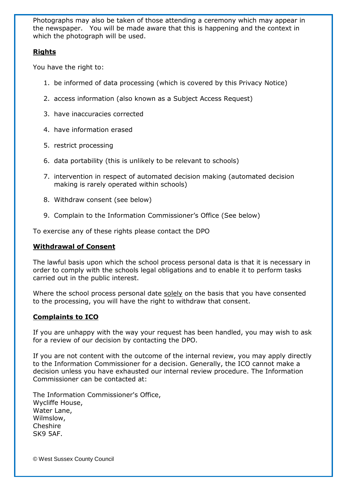Photographs may also be taken of those attending a ceremony which may appear in the newspaper. You will be made aware that this is happening and the context in which the photograph will be used.

## **Rights**

You have the right to:

- 1. be informed of data processing (which is covered by this Privacy Notice)
- 2. access information (also known as a Subject Access Request)
- 3. have inaccuracies corrected
- 4. have information erased
- 5. restrict processing
- 6. data portability (this is unlikely to be relevant to schools)
- 7. intervention in respect of automated decision making (automated decision making is rarely operated within schools)
- 8. Withdraw consent (see below)
- 9. Complain to the Information Commissioner's Office (See below)

To exercise any of these rights please contact the DPO

## **Withdrawal of Consent**

The lawful basis upon which the school process personal data is that it is necessary in order to comply with the schools legal obligations and to enable it to perform tasks carried out in the public interest.

Where the school process personal date solely on the basis that you have consented to the processing, you will have the right to withdraw that consent.

## **Complaints to ICO**

If you are unhappy with the way your request has been handled, you may wish to ask for a review of our decision by contacting the DPO.

If you are not content with the outcome of the internal review, you may apply directly to the Information Commissioner for a decision. Generally, the ICO cannot make a decision unless you have exhausted our internal review procedure. The Information Commissioner can be contacted at:

The Information Commissioner's Office, Wycliffe House, Water Lane, Wilmslow, **Cheshire** SK9 5AF.

© West Sussex County Council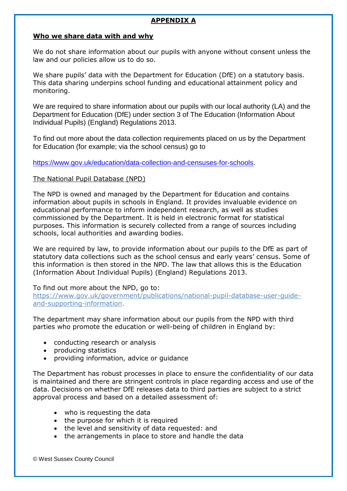## **APPENDIX A**

### **Who we share data with and why**

We do not share information about our pupils with anyone without consent unless the law and our policies allow us to do so.

We share pupils' data with the Department for Education (DfE) on a statutory basis. This data sharing underpins school funding and educational attainment policy and monitoring.

We are required to share information about our pupils with our local authority (LA) and the Department for Education (DfE) under section 3 of The Education (Information About Individual Pupils) (England) Regulations 2013.

To find out more about the data collection requirements placed on us by the Department for Education (for example; via the school census) go to

### [https://www.gov.uk/education/data-collection-and-censuses-for-schools.](https://www.gov.uk/education/data-collection-and-censuses-for-schools)

### The National Pupil Database (NPD)

The NPD is owned and managed by the Department for Education and contains information about pupils in schools in England. It provides invaluable evidence on educational performance to inform independent research, as well as studies commissioned by the Department. It is held in electronic format for statistical purposes. This information is securely collected from a range of sources including schools, local authorities and awarding bodies.

We are required by law, to provide information about our pupils to the DfE as part of statutory data collections such as the school census and early years' census. Some of this information is then stored in the NPD. The law that allows this is the Education (Information About Individual Pupils) (England) Regulations 2013.

### To find out more about the NPD, go to:

[https://www.gov.uk/government/publications/national-pupil-database-user-guide](https://www.gov.uk/government/publications/national-pupil-database-user-guide-and-supporting-information)[and-supporting-information.](https://www.gov.uk/government/publications/national-pupil-database-user-guide-and-supporting-information)

The department may share information about our pupils from the NPD with third parties who promote the education or well-being of children in England by:

- conducting research or analysis
- producing statistics
- providing information, advice or guidance

The Department has robust processes in place to ensure the confidentiality of our data is maintained and there are stringent controls in place regarding access and use of the data. Decisions on whether DfE releases data to third parties are subject to a strict approval process and based on a detailed assessment of:

- who is requesting the data
- the purpose for which it is required
- the level and sensitivity of data requested: and
- the arrangements in place to store and handle the data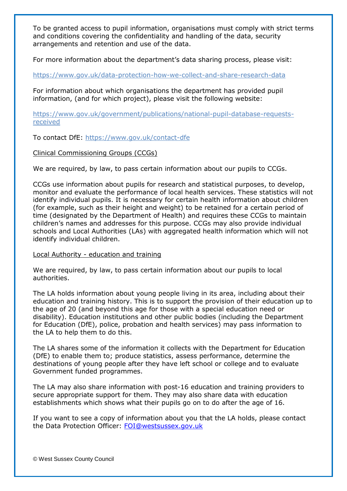To be granted access to pupil information, organisations must comply with strict terms and conditions covering the confidentiality and handling of the data, security arrangements and retention and use of the data.

For more information about the department's data sharing process, please visit:

<https://www.gov.uk/data-protection-how-we-collect-and-share-research-data>

For information about which organisations the department has provided pupil information, (and for which project), please visit the following website:

[https://www.gov.uk/government/publications/national-pupil-database-requests](https://www.gov.uk/government/publications/national-pupil-database-requests-received)[received](https://www.gov.uk/government/publications/national-pupil-database-requests-received)

To contact DfE:<https://www.gov.uk/contact-dfe>

## Clinical Commissioning Groups (CCGs)

We are required, by law, to pass certain information about our pupils to CCGs.

CCGs use information about pupils for research and statistical purposes, to develop, monitor and evaluate the performance of local health services. These statistics will not identify individual pupils. It is necessary for certain health information about children (for example, such as their height and weight) to be retained for a certain period of time (designated by the Department of Health) and requires these CCGs to maintain children's names and addresses for this purpose. CCGs may also provide individual schools and Local Authorities (LAs) with aggregated health information which will not identify individual children.

### Local Authority - education and training

We are required, by law, to pass certain information about our pupils to local authorities.

The LA holds information about young people living in its area, including about their education and training history. This is to support the provision of their education up to the age of 20 (and beyond this age for those with a special education need or disability). Education institutions and other public bodies (including the Department for Education (DfE), police, probation and health services) may pass information to the LA to help them to do this.

The LA shares some of the information it collects with the Department for Education (DfE) to enable them to; produce statistics, assess performance, determine the destinations of young people after they have left school or college and to evaluate Government funded programmes.

The LA may also share information with post-16 education and training providers to secure appropriate support for them. They may also share data with education establishments which shows what their pupils go on to do after the age of 16.

If you want to see a copy of information about you that the LA holds, please contact the Data Protection Officer: [FOI@westsussex.gov.uk](mailto:FOI@westsussex.gov.uk)